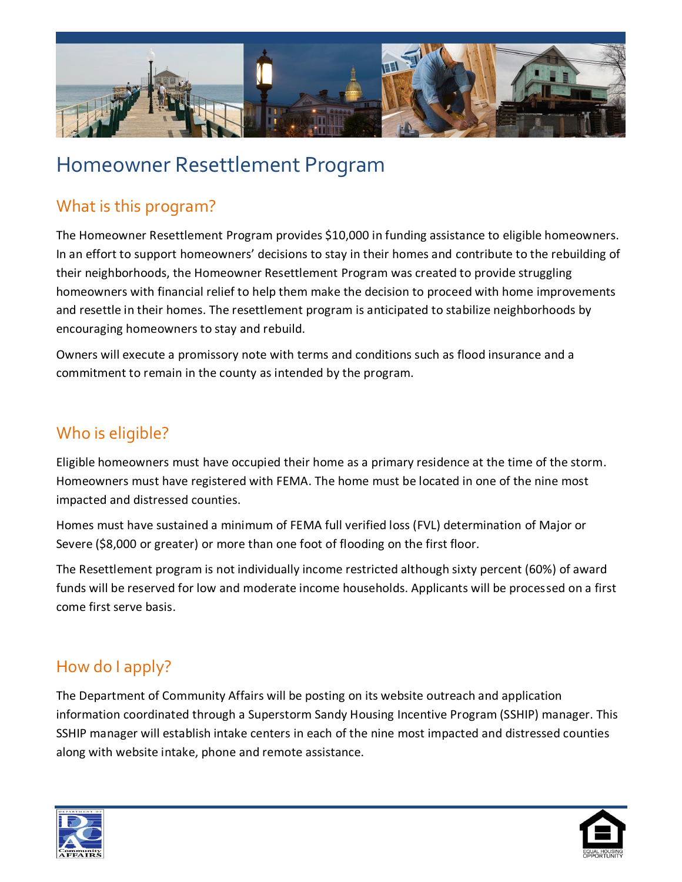

# Homeowner Resettlement Program

## What is this program?

The Homeowner Resettlement Program provides \$10,000 in funding assistance to eligible homeowners. In an effort to support homeowners' decisions to stay in their homes and contribute to the rebuilding of their neighborhoods, the Homeowner Resettlement Program was created to provide struggling homeowners with financial relief to help them make the decision to proceed with home improvements and resettle in their homes. The resettlement program is anticipated to stabilize neighborhoods by encouraging homeowners to stay and rebuild.

Owners will execute a promissory note with terms and conditions such as flood insurance and a commitment to remain in the county as intended by the program.

#### Who is eligible?

Eligible homeowners must have occupied their home as a primary residence at the time of the storm. Homeowners must have registered with FEMA. The home must be located in one of the nine most impacted and distressed counties.

Homes must have sustained a minimum of FEMA full verified loss (FVL) determination of Major or Severe (\$8,000 or greater) or more than one foot of flooding on the first floor.

The Resettlement program is not individually income restricted although sixty percent (60%) of award funds will be reserved for low and moderate income households. Applicants will be processed on a first come first serve basis.

## How do I apply?

The Department of Community Affairs will be posting on its website outreach and application information coordinated through a Superstorm Sandy Housing Incentive Program (SSHIP) manager. This SSHIP manager will establish intake centers in each of the nine most impacted and distressed counties along with website intake, phone and remote assistance.